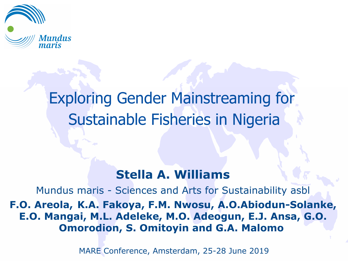

# Exploring Gender Mainstreaming for Sustainable Fisheries in Nigeria

#### **Stella A. Williams**

Mundus maris - Sciences and Arts for Sustainability asbl **F.O. Areola, K.A. Fakoya, F.M. Nwosu, A.O.Abiodun-Solanke, E.O. Mangai, M.L. Adeleke, M.O. Adeogun, E.J. Ansa, G.O. Omorodion, S. Omitoyin and G.A. Malomo**

MARE Conference, Amsterdam, 25-28 June 2019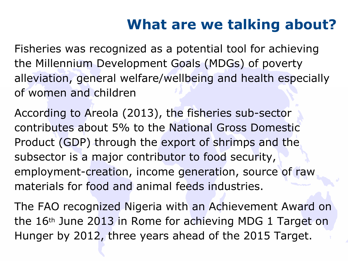## **What are we talking about?**

Fisheries was recognized as a potential tool for achieving the Millennium Development Goals (MDGs) of poverty alleviation, general welfare/wellbeing and health especially of women and children

According to Areola (2013), the fisheries sub-sector contributes about 5% to the National Gross Domestic Product (GDP) through the export of shrimps and the subsector is a major contributor to food security, employment-creation, income generation, source of raw materials for food and animal feeds industries.

The FAO recognized Nigeria with an Achievement Award on the 16th June 2013 in Rome for achieving MDG 1 Target on Hunger by 2012, three years ahead of the 2015 Target.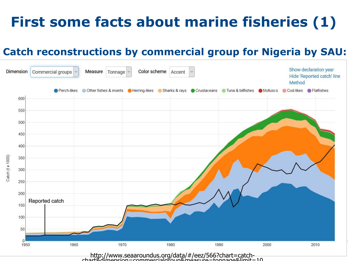# **First some facts about marine fisheries (1)**

#### **Catch reconstructions by commercial group for Nigeria by SAU:**



http://www.seaaroundus.org/data/#/eez/566?chart=catchchart&dimension=commercialgroup&measure=tonnage&limit=10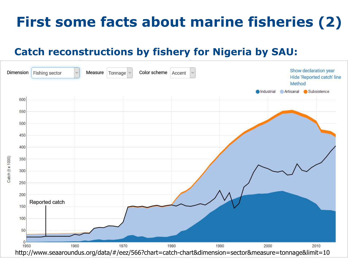## **First some facts about marine fisheries (2)**

#### **Catch reconstructions by fishery for Nigeria by SAU:**

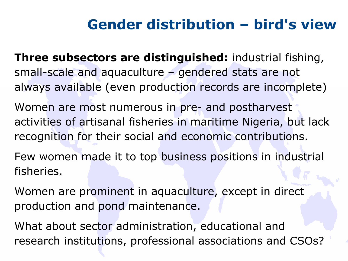### **Gender distribution – bird's view**

**Three subsectors are distinguished:** industrial fishing, small-scale and aquaculture – gendered stats are not always available (even production records are incomplete)

Women are most numerous in pre- and postharvest activities of artisanal fisheries in maritime Nigeria, but lack recognition for their social and economic contributions.

Few women made it to top business positions in industrial fisheries.

Women are prominent in aquaculture, except in direct production and pond maintenance.

What about sector administration, educational and research institutions, professional associations and CSOs?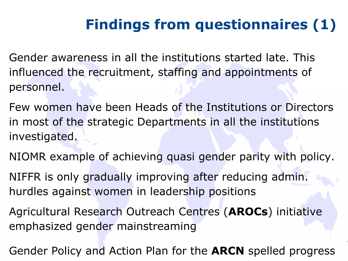# **Findings from questionnaires (1)**

- Gender awareness in all the institutions started late. This influenced the recruitment, staffing and appointments of personnel.
- Few women have been Heads of the Institutions or Directors in most of the strategic Departments in all the institutions investigated.
- NIOMR example of achieving quasi gender parity with policy.
- NIFFR is only gradually improving after reducing admin. hurdles against women in leadership positions
- Agricultural Research Outreach Centres (**AROCs**) initiative emphasized gender mainstreaming
- Gender Policy and Action Plan for the **ARCN** spelled progress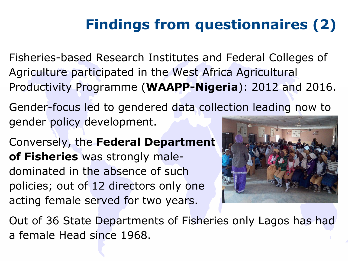# **Findings from questionnaires (2)**

Fisheries-based Research Institutes and Federal Colleges of Agriculture participated in the West Africa Agricultural Productivity Programme (**WAAPP-Nigeria**): 2012 and 2016.

Gender-focus led to gendered data collection leading now to gender policy development.

Conversely, the **Federal Department of Fisheries** was strongly maledominated in the absence of such policies; out of 12 directors only one acting female served for two years.



Out of 36 State Departments of Fisheries only Lagos has had a female Head since 1968.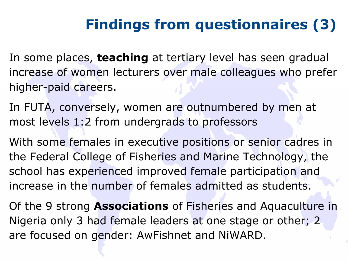# **Findings from questionnaires (3)**

In some places, **teaching** at tertiary level has seen gradual increase of women lecturers over male colleagues who prefer higher-paid careers.

In FUTA, conversely, women are outnumbered by men at most levels 1:2 from undergrads to professors

With some females in executive positions or senior cadres in the Federal College of Fisheries and Marine Technology, the school has experienced improved female participation and increase in the number of females admitted as students.

Of the 9 strong **Associations** of Fisheries and Aquaculture in Nigeria only 3 had female leaders at one stage or other; 2 are focused on gender: AwFishnet and NiWARD.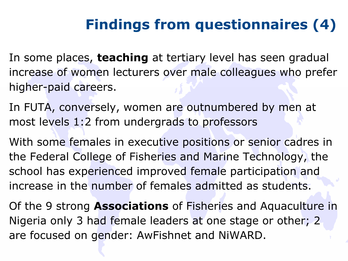# **Findings from questionnaires (4)**

In some places, **teaching** at tertiary level has seen gradual increase of women lecturers over male colleagues who prefer higher-paid careers.

In FUTA, conversely, women are outnumbered by men at most levels 1:2 from undergrads to professors

With some females in executive positions or senior cadres in the Federal College of Fisheries and Marine Technology, the school has experienced improved female participation and increase in the number of females admitted as students.

Of the 9 strong **Associations** of Fisheries and Aquaculture in Nigeria only 3 had female leaders at one stage or other; 2 are focused on gender: AwFishnet and NiWARD.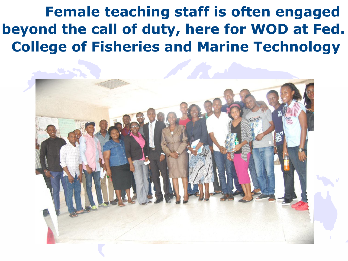**Female teaching staff is often engaged beyond the call of duty, here for WOD at Fed. College of Fisheries and Marine Technology** 

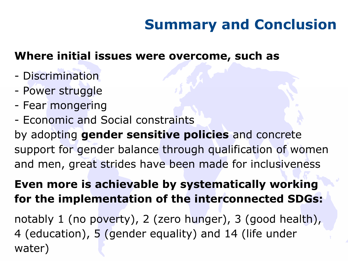## **Summary and Conclusion**

#### **Where initial issues were overcome, such as**

- Discrimination
- Power struggle
- Fear mongering
- Economic and Social constraints

by adopting **gender sensitive policies** and concrete support for gender balance through qualification of women and men, great strides have been made for inclusiveness

#### **Even more is achievable by systematically working for the implementation of the interconnected SDGs:**

notably 1 (no poverty), 2 (zero hunger), 3 (good health), 4 (education), 5 (gender equality) and 14 (life under water)